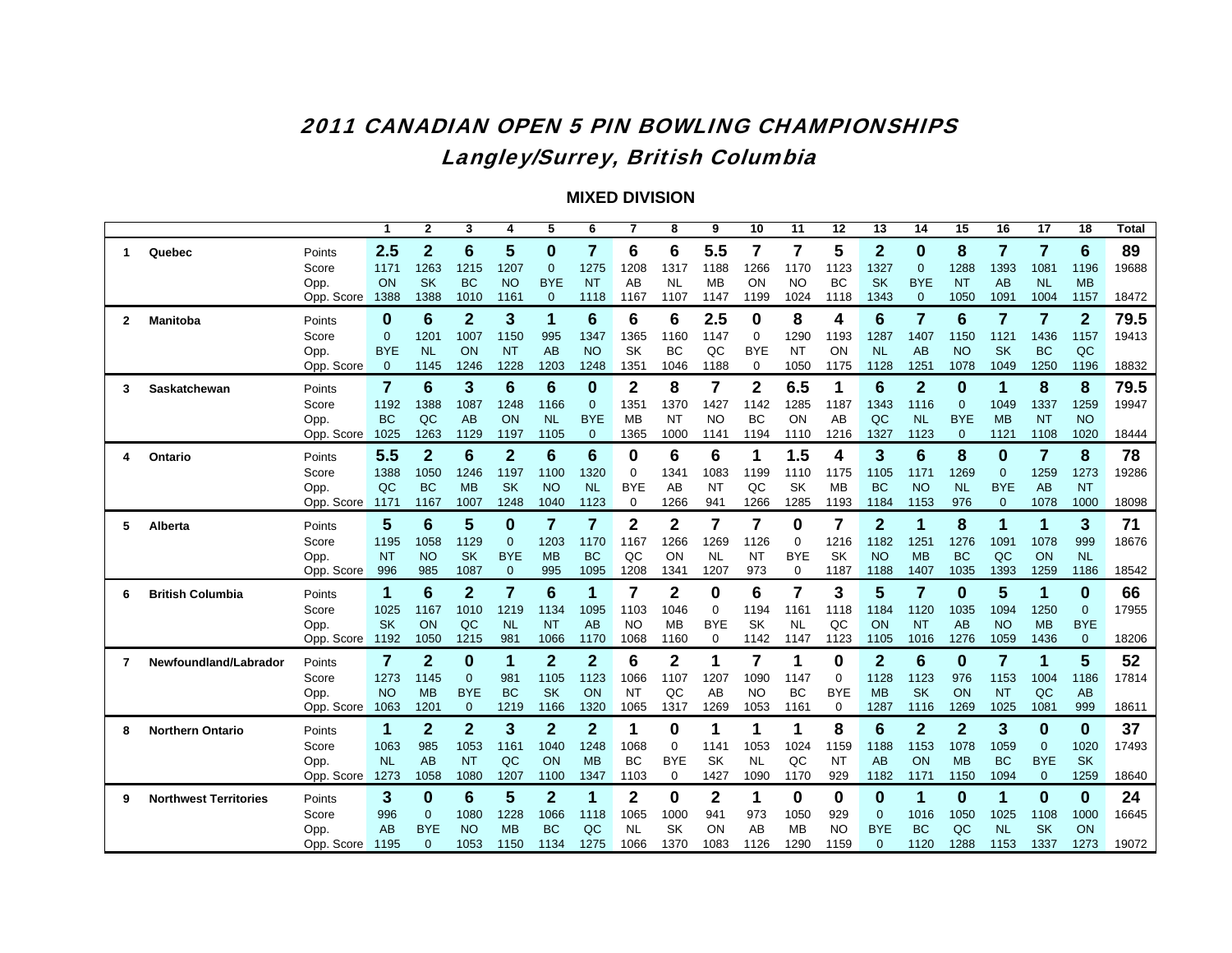# 2011 CANADIAN OPEN 5 PIN BOWLING CHAMPIONSHIPSLangley/Surrey, British Columbia

|   |                              |            | 1          | $\mathbf{2}$   | 3              | 4              | 5              | 6               | 7              | 8              | 9              | 10             | 11          | 12         | 13             | 14              | 15             | 16           | 17           | 18           | Total |
|---|------------------------------|------------|------------|----------------|----------------|----------------|----------------|-----------------|----------------|----------------|----------------|----------------|-------------|------------|----------------|-----------------|----------------|--------------|--------------|--------------|-------|
| 1 | Quebec                       | Points     | 2.5        | $\overline{2}$ | 6              | 5              | $\bf{0}$       | $\overline{7}$  | 6              | 6              | 5.5            | $\overline{7}$ | 7           | 5          | $\mathbf{2}$   | $\bf{0}$        | 8              | 7            | 7            | 6            | 89    |
|   |                              | Score      | 1171       | 1263           | 1215           | 1207           | $\mathbf 0$    | 1275            | 1208           | 1317           | 1188           | 1266           | 1170        | 1123       | 1327           | $\overline{0}$  | 1288           | 1393         | 1081         | 1196         | 19688 |
|   |                              | Opp.       | ON         | <b>SK</b>      | <b>BC</b>      | <b>NO</b>      | <b>BYE</b>     | <b>NT</b>       | AB             | <b>NL</b>      | <b>MB</b>      | ON             | <b>NO</b>   | <b>BC</b>  | <b>SK</b>      | <b>BYE</b>      | <b>NT</b>      | AB           | <b>NL</b>    | <b>MB</b>    |       |
|   |                              | Opp. Score | 1388       | 1388           | 1010           | 1161           | $\mathbf{0}$   | 1118            | 1167           | 1107           | 1147           | 1199           | 1024        | 1118       | 1343           | $\mathbf{0}$    | 1050           | 1091         | 1004         | 1157         | 18472 |
| 2 | <b>Manitoba</b>              | Points     | 0          | 6              | $\overline{2}$ | 3              | 1              | $6\phantom{1}6$ | 6              | 6              | 2.5            | 0              | 8           | 4          | 6              | 7               | 6              | 7            | 7            | $\mathbf{2}$ | 79.5  |
|   |                              | Score      | $\Omega$   | 1201           | 1007           | 1150           | 995            | 1347            | 1365           | 1160           | 1147           | $\mathbf 0$    | 1290        | 1193       | 1287           | 1407            | 1150           | 1121         | 1436         | 1157         | 19413 |
|   |                              | Opp.       | <b>BYE</b> | <b>NL</b>      | ON             | <b>NT</b>      | AB             | <b>NO</b>       | SK             | <b>BC</b>      | QC             | <b>BYE</b>     | <b>NT</b>   | ON         | <b>NL</b>      | AB              | <b>NO</b>      | <b>SK</b>    | <b>BC</b>    | QC           |       |
|   |                              | Opp. Score | $\Omega$   | 1145           | 1246           | 1228           | 1203           | 1248            | 1351           | 1046           | 1188           | 0              | 1050        | 1175       | 1128           | 125'            | 1078           | 1049         | 1250         | 1196         | 18832 |
| 3 | Saskatchewan                 | Points     | 7          | 6              | 3              | 6              | 6              | $\bf{0}$        | $\overline{2}$ | 8              | $\overline{7}$ | $\mathbf 2$    | 6.5         | 1          | $6\phantom{1}$ | $\overline{2}$  | 0              | 1            | 8            | 8            | 79.5  |
|   |                              | Score      | 1192       | 1388           | 1087           | 1248           | 1166           | $\overline{0}$  | 1351           | 1370           | 1427           | 1142           | 1285        | 1187       | 1343           | 1116            | $\overline{0}$ | 1049         | 1337         | 1259         | 19947 |
|   |                              | Opp.       | <b>BC</b>  | QC             | AB             | ON             | <b>NL</b>      | <b>BYE</b>      | <b>MB</b>      | <b>NT</b>      | <b>NO</b>      | <b>BC</b>      | ON          | AB         | QC             | <b>NL</b>       | <b>BYE</b>     | <b>MB</b>    | <b>NT</b>    | <b>NO</b>    |       |
|   |                              | Opp. Score | 1025       | 1263           | 1129           | 1197           | 1105           | $\overline{0}$  | 1365           | 1000           | 1141           | 1194           | 1110        | 1216       | 1327           | 1123            | $\mathbf{0}$   | 1121         | 1108         | 1020         | 18444 |
| 4 | Ontario                      | Points     | 5.5        | $\overline{2}$ | 6              | $\overline{2}$ | 6              | $6\phantom{1}6$ | 0              | 6              | 6              | 1              | 1.5         | 4          | 3              | $6\phantom{1}6$ | 8              | $\bf{0}$     | 7            | 8            | 78    |
|   |                              | Score      | 1388       | 1050           | 1246           | 1197           | 1100           | 1320            | $\mathbf 0$    | 1341           | 1083           | 1199           | 1110        | 1175       | 1105           | 1171            | 1269           | $\mathbf{0}$ | 1259         | 1273         | 19286 |
|   |                              | Opp.       | QC         | <b>BC</b>      | <b>MB</b>      | <b>SK</b>      | <b>NO</b>      | <b>NL</b>       | <b>BYE</b>     | AB             | <b>NT</b>      | QC             | <b>SK</b>   | <b>MB</b>  | <b>BC</b>      | <b>NO</b>       | <b>NL</b>      | <b>BYE</b>   | AB           | <b>NT</b>    |       |
|   |                              | Opp. Score | 1171       | 1167           | 1007           | 1248           | 1040           | 1123            | 0              | 1266           | 941            | 1266           | 1285        | 1193       | 1184           | 1153            | 976            | $\mathbf{0}$ | 1078         | 1000         | 18098 |
| 5 | Alberta                      | Points     | 5          | 6              | 5              | 0              | 7              | 7               | $\mathbf 2$    | $\mathbf{2}$   | $\overline{7}$ | 7              | 0           | 7          | $\overline{2}$ | 1               | 8              | 1            | 1            | 3            | 71    |
|   |                              | Score      | 1195       | 1058           | 1129           | $\mathbf{0}$   | 1203           | 1170            | 1167           | 1266           | 1269           | 1126           | 0           | 1216       | 1182           | 1251            | 1276           | 1091         | 1078         | 999          | 18676 |
|   |                              | Opp.       | <b>NT</b>  | <b>NO</b>      | <b>SK</b>      | <b>BYE</b>     | <b>MB</b>      | <b>BC</b>       | QC             | ON             | <b>NL</b>      | <b>NT</b>      | <b>BYE</b>  | <b>SK</b>  | <b>NO</b>      | <b>MB</b>       | ВC             | QC           | ON           | <b>NL</b>    |       |
|   |                              | Opp. Score | 996        | 985            | 1087           | $\mathbf{0}$   | 995            | 1095            | 1208           | 1341           | 1207           | 973            | $\mathbf 0$ | 1187       | 1188           | 1407            | 1035           | 1393         | 1259         | 1186         | 18542 |
| 6 | <b>British Columbia</b>      | Points     | 1          | 6              | $\mathbf{2}$   | 7              | 6              | 1               | 7              | 2              | 0              | 6              | 7           | 3          | 5              | 7               | 0              | 5            | 1            | $\bf{0}$     | 66    |
|   |                              | Score      | 1025       | 1167           | 1010           | 1219           | 1134           | 1095            | 1103           | 1046           | 0              | 1194           | 1161        | 1118       | 1184           | 1120            | 1035           | 1094         | 1250         | $\mathbf 0$  | 17955 |
|   |                              | Opp.       | <b>SK</b>  | ON             | QC             | <b>NL</b>      | <b>NT</b>      | AB              | NO.            | <b>MB</b>      | <b>BYE</b>     | <b>SK</b>      | <b>NL</b>   | QC         | ON             | <b>NT</b>       | AB             | <b>NO</b>    | <b>MB</b>    | <b>BYE</b>   |       |
|   |                              | Opp. Score | 1192       | 1050           | 1215           | 981            | 1066           | 1170            | 1068           | 1160           | $\mathbf 0$    | 1142           | 1147        | 1123       | 1105           | 1016            | 1276           | 1059         | 1436         | $\mathbf 0$  | 18206 |
| 7 | Newfoundland/Labrador        | Points     | 7          | $\overline{2}$ | 0              | 1              | $\mathbf{2}$   | $\overline{2}$  | 6              | $\overline{2}$ | 1              | $\overline{7}$ | 1           | 0          | $\mathbf{2}$   | 6               | 0              | 7            | 1            | 5            | 52    |
|   |                              | Score      | 1273       | 1145           | $\mathbf 0$    | 981            | 1105           | 1123            | 1066           | 1107           | 1207           | 1090           | 1147        | 0          | 1128           | 1123            | 976            | 1153         | 1004         | 1186         | 17814 |
|   |                              | Opp.       | <b>NO</b>  | <b>MB</b>      | <b>BYE</b>     | <b>BC</b>      | <b>SK</b>      | ON              | <b>NT</b>      | QC             | AB             | <b>NO</b>      | <b>BC</b>   | <b>BYE</b> | <b>MB</b>      | <b>SK</b>       | ON             | <b>NT</b>    | QC           | <b>AB</b>    |       |
|   |                              | Opp. Score | 1063       | 1201           | $\mathbf 0$    | 1219           | 1166           | 1320            | 1065           | 1317           | 1269           | 1053           | 1161        | 0          | 1287           | 1116            | 1269           | 1025         | 1081         | 999          | 18611 |
| 8 | <b>Northern Ontario</b>      | Points     | 1          | $\overline{2}$ | $\overline{2}$ | 3              | $\mathbf{2}$   | $\overline{2}$  | 1              | 0              | 1              | 1              | 1           | 8          | 6              | $\overline{2}$  | $\overline{2}$ | 3            | 0            | $\bf{0}$     | 37    |
|   |                              | Score      | 1063       | 985            | 1053           | 1161           | 1040           | 1248            | 1068           | 0              | 1141           | 1053           | 1024        | 1159       | 1188           | 1153            | 1078           | 1059         | $\Omega$     | 1020         | 17493 |
|   |                              | Opp.       | <b>NL</b>  | AB             | <b>NT</b>      | QC             | ON             | <b>MB</b>       | <b>BC</b>      | <b>BYE</b>     | <b>SK</b>      | <b>NL</b>      | QC          | <b>NT</b>  | AB             | ON              | <b>MB</b>      | <b>BC</b>    | <b>BYE</b>   | <b>SK</b>    |       |
|   |                              | Opp. Score | 1273       | 1058           | 1080           | 1207           | 1100           | 1347            | 1103           | $\mathbf 0$    | 1427           | 1090           | 1170        | 929        | 1182           | 1171            | 1150           | 1094         | $\mathbf{0}$ | 1259         | 18640 |
| 9 | <b>Northwest Territories</b> | Points     | 3          | 0              | 6              | 5              | $\overline{2}$ | 1               | $\mathbf{2}$   | 0              | $\mathbf{2}$   | 1              | 0           | 0          | 0              | 1               | 0              | 1            | 0            | $\bf{0}$     | 24    |
|   |                              | Score      | 996        | $\mathbf{0}$   | 1080           | 1228           | 1066           | 1118            | 1065           | 1000           | 941            | 973            | 1050        | 929        | $\overline{0}$ | 1016            | 1050           | 1025         | 1108         | 1000         | 16645 |
|   |                              | Opp.       | AB         | <b>BYE</b>     | <b>NO</b>      | <b>MB</b>      | BC             | QC              | <b>NL</b>      | <b>SK</b>      | ON             | AB             | <b>MB</b>   | <b>NO</b>  | <b>BYE</b>     | <b>BC</b>       | QC             | <b>NL</b>    | <b>SK</b>    | ON           |       |
|   |                              | Opp. Score | 1195       | $\mathbf{0}$   | 1053           | 1150           | 1134           | 1275            | 1066           | 1370           | 1083           | 1126           | 1290        | 1159       | $\mathbf{0}$   | 1120            | 1288           | 1153         | 1337         | 1273         | 19072 |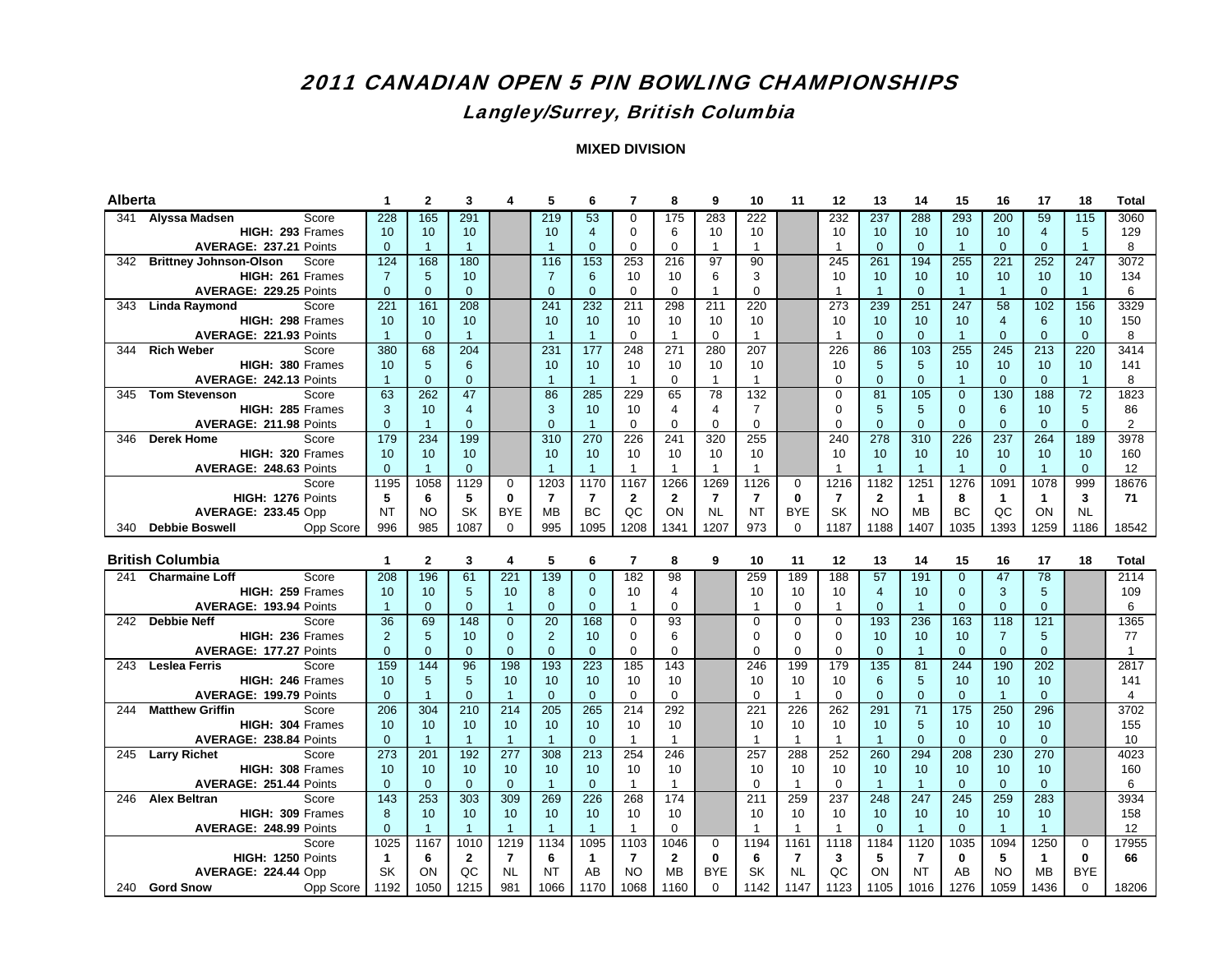## Langley/Surrey, British Columbia

| Alberta |                                     | 1              | $\mathbf{2}$   | 3              |                 | 5                        | 6                | 7              | 8              | 9              | 10              | 11             | 12             | 13             | 14             | 15              | 16             | 17                | 18                     | <b>Total</b>   |
|---------|-------------------------------------|----------------|----------------|----------------|-----------------|--------------------------|------------------|----------------|----------------|----------------|-----------------|----------------|----------------|----------------|----------------|-----------------|----------------|-------------------|------------------------|----------------|
|         | 341 Alyssa Madsen<br>Score          | 228            | 165            | 291            |                 | 219                      | 53               | 0              | 175            | 283            | 222             |                | 232            | 237            | 288            | 293             | 200            | 59                | 115                    | 3060           |
|         | HIGH: 293 Frames                    | 10             | 10             | 10             |                 | 10                       | $\overline{4}$   | $\Omega$       | 6              | 10             | 10 <sup>1</sup> |                | 10             | 10             | 10             | 10 <sup>1</sup> | 10             | $\overline{4}$    | 5                      | 129            |
|         | AVERAGE: 237.21 Points              | $\overline{0}$ | $\mathbf{1}$   | $\mathbf{1}$   |                 | $\overline{1}$           | $\mathbf{0}$     | $\Omega$       | $\mathbf 0$    | $\mathbf{1}$   | $\mathbf{1}$    |                | $\mathbf{1}$   | $\Omega$       | $\mathbf{0}$   | $\overline{1}$  | $\mathbf{0}$   | $\Omega$          | $\overline{1}$         | 8              |
|         | 342 Brittney Johnson-Olson<br>Score | 124            | 168            | 180            |                 | 116                      | 153              | 253            | 216            | 97             | 90              |                | 245            | 261            | 194            | 255             | 221            | 252               | 247                    | 3072           |
|         | HIGH: 261 Frames                    | $\overline{7}$ | 5              | 10             |                 | $\overline{7}$           | 6                | 10             | 10             | 6              | 3               |                | 10             | 10             | 10             | 10 <sup>1</sup> | 10             | 10 <sup>1</sup>   | 10                     | 134            |
|         | AVERAGE: 229.25 Points              | $\overline{0}$ | $\mathbf{0}$   | $\overline{0}$ |                 | $\overline{0}$           | $\Omega$         | $\Omega$       | $\mathbf 0$    | $\overline{1}$ | $\Omega$        |                | $\mathbf{1}$   | $\overline{1}$ | $\mathbf{0}$   | $\overline{1}$  | $\mathbf{1}$   | $\Omega$          | $\mathbf{1}$           | 6              |
| 343     | Score<br>Linda Raymond              | 221            | 161            | 208            |                 | 241                      | 232              | 211            | 298            | 211            | 220             |                | 273            | 239            | 251            | 247             | 58             | 102               | 156                    | 3329           |
|         | HIGH: 298 Frames                    | 10             | 10             | 10             |                 | 10                       | 10               | 10             | 10             | 10             | 10              |                | 10             | 10             | 10             | 10 <sup>°</sup> | $\overline{4}$ | 6                 | 10                     | 150            |
|         | AVERAGE: 221.93 Points              | $\mathbf{1}$   | $\Omega$       | $\mathbf{1}$   |                 | $\overline{1}$           | $\overline{1}$   | $\Omega$       | $\overline{1}$ | $\Omega$       | $\mathbf{1}$    |                | $\mathbf{1}$   | $\Omega$       | $\Omega$       | $\overline{1}$  | $\Omega$       | $\Omega$          | $\Omega$               | 8              |
| 344     | <b>Rich Weber</b><br>Score          | 380            | 68             | 204            |                 | 231                      | 177              | 248            | 271            | 280            | 207             |                | 226            | 86             | 103            | 255             | 245            | 213               | 220                    | 3414           |
|         | HIGH: 380 Frames                    | 10             | 5              | 6              |                 | 10                       | 10               | 10             | 10             | 10             | 10              |                | 10             | 5              | 5              | 10              | 10             | 10                | 10                     | 141            |
|         | AVERAGE: 242.13 Points              | $\overline{1}$ | $\Omega$       | $\Omega$       |                 | $\overline{1}$           | $\overline{1}$   | $\overline{1}$ | $\mathbf 0$    | $\mathbf{1}$   | $\mathbf{1}$    |                | $\Omega$       | $\Omega$       | $\Omega$       | $\overline{1}$  | $\Omega$       | $\Omega$          | $\mathbf{1}$           | 8              |
|         | 345 Tom Stevenson<br>Score          | 63             | 262            | 47             |                 | 86                       | 285              | 229            | 65             | 78             | 132             |                | $\Omega$       | 81             | 105            | $\Omega$        | 130            | 188               | 72                     | 1823           |
|         | HIGH: 285 Frames                    | 3              | 10             | 4              |                 | 3                        | 10               | 10             | $\overline{4}$ | $\overline{4}$ | $\overline{7}$  |                | 0              | 5              | 5              | $\mathbf{0}$    | 6              | 10                | 5                      | 86             |
|         | AVERAGE: 211.98 Points              | $\mathbf{0}$   | $\overline{1}$ | $\Omega$       |                 | $\Omega$                 | $\overline{1}$   | $\Omega$       | $\Omega$       | $\Omega$       | $\Omega$        |                | $\Omega$       | $\Omega$       | $\Omega$       | $\Omega$        | $\Omega$       | $\Omega$          | $\Omega$               | 2              |
| 346     | <b>Derek Home</b><br>Score          | 179            | 234            | 199            |                 | 310                      | 270              | 226            | 241            | 320            | 255             |                | 240            | 278            | 310            | 226             | 237            | 264               | 189                    | 3978           |
|         | HIGH: 320 Frames                    | 10             | 10             | 10             |                 | 10                       | 10               | 10             | 10             | 10             | 10              |                | 10             | 10             | 10             | 10 <sup>°</sup> | 10             | 10 <sup>10</sup>  | 10                     | 160            |
|         | AVERAGE: 248.63 Points              | $\Omega$       | $\mathbf{1}$   | $\Omega$       |                 | $\overline{1}$           | $\overline{1}$   | $\overline{1}$ | $\mathbf{1}$   | $\overline{1}$ | $\mathbf{1}$    |                | $\overline{1}$ | $\mathbf{1}$   | $\overline{1}$ | $\overline{1}$  | $\Omega$       | $\mathbf{1}$      | $\Omega$               | 12             |
|         | Score                               | 1195           | 1058           | 1129           | $\Omega$        | 1203                     | 1170             | 1167           | 1266           | 1269           | 1126            | $\Omega$       | 1216           | 1182           | 1251           | 1276            | 1091           | 1078              | 999                    | 18676          |
|         | HIGH: 1276 Points                   | 5              | 6              | 5              | $\bf{0}$        | $\overline{\phantom{a}}$ | $\overline{7}$   | $\mathbf{2}$   | $\mathbf{2}$   | $\overline{7}$ | $\overline{7}$  | $\bf{0}$       | $\overline{7}$ | $\overline{2}$ | $\mathbf{1}$   | 8               | $\mathbf{1}$   | $\mathbf{1}$      | 3                      | 71             |
|         | <b>AVERAGE: 233.45 Opp</b>          | <b>NT</b>      | <b>NO</b>      | SK             | <b>BYE</b>      | <b>MB</b>                | <b>BC</b>        | QC             | ON             | <b>NL</b>      | <b>NT</b>       | <b>BYE</b>     | SK             | <b>NO</b>      | <b>MB</b>      | <b>BC</b>       | QC             | ON                | <b>NL</b>              |                |
|         | 340 Debbie Boswell<br>Opp Score     | 996            | 985            | 1087           | $\Omega$        | 995                      | 1095             | 1208           | 1341           | 1207           | 973             | $\Omega$       | 1187           | 1188           | 1407           | 1035            | 1393           | 1259              | 1186                   | 18542          |
|         |                                     |                |                |                |                 |                          |                  |                |                |                |                 |                |                |                |                |                 |                |                   |                        |                |
|         |                                     |                |                |                |                 |                          |                  |                |                |                |                 |                |                |                |                |                 |                |                   |                        |                |
|         | <b>British Columbia</b>             | 1              | $\mathbf{2}$   | 3              | 4               | 5                        | 6                | $\overline{7}$ | 8              | 9              | 10              | 11             | 12             | 13             | 14             | 15              | 16             | 17                | 18                     | <b>Total</b>   |
|         | 241 Charmaine Loff<br>Score         | 208            | 196            | 61             | 221             | 139                      | $\Omega$         | 182            | 98             |                | 259             | 189            | 188            | 57             | 191            | $\Omega$        | 47             | 78                |                        | 2114           |
|         | HIGH: 259 Frames                    | 10             | 10             | 5              | 10              | 8                        | $\Omega$         | 10             | $\overline{4}$ |                | 10              | 10             | 10             | $\overline{4}$ | 10             | $\mathbf{0}$    | $\mathbf{3}$   | 5                 |                        | 109            |
|         | AVERAGE: 193.94 Points              | $\mathbf{1}$   | $\mathbf{0}$   | $\overline{0}$ | $\overline{1}$  | $\mathbf{0}$             | $\mathbf{0}$     | $\mathbf{1}$   | 0              |                | $\mathbf 1$     | 0              | $\mathbf{1}$   | $\mathbf{0}$   | $\overline{1}$ | $\mathbf{0}$    | $\mathbf{0}$   | $\overline{0}$    |                        | 6              |
|         | 242 Debbie Neff<br>Score            | 36             | 69             | 148            | $\Omega$        | 20                       | 168              | $\Omega$       | 93             |                | $\Omega$        | $\Omega$       | $\Omega$       | 193            | 236            | 163             | 118            | 121               |                        | 1365           |
|         | HIGH: 236 Frames                    | 2              | 5              | 10             | $\Omega$        | 2                        | 10               | $\Omega$       | 6              |                | $\Omega$        | $\Omega$       | $\Omega$       | 10             | 10             | 10              | $\overline{7}$ | 5                 |                        | 77             |
|         | AVERAGE: 177.27 Points              | $\overline{0}$ | $\Omega$       | $\Omega$       | $\mathbf{0}$    | $\mathbf{0}$             | $\mathbf{0}$     | 0              | $\mathbf 0$    |                | $\Omega$        | $\mathbf 0$    | $\mathbf 0$    | $\mathbf{0}$   | $\overline{1}$ | $\Omega$        | $\overline{0}$ | $\overline{0}$    |                        | $\mathbf{1}$   |
| 243     | Score<br><b>Leslea Ferris</b>       | 159            | 144            | 96             | 198             | 193                      | 223              | 185            | 143            |                | 246             | 199            | 179            | 135            | 81             | 244             | 190            | 202               |                        | 2817           |
|         | HIGH: 246 Frames                    | 10             | 5              | 5              | 10 <sup>1</sup> | 10                       | 10               | 10             | 10             |                | 10              | 10             | 10             | 6              | 5              | 10              | 10             | 10 <sup>10</sup>  |                        | 141            |
|         | AVERAGE: 199.79 Points              | $\mathbf{0}$   | $\mathbf{1}$   | $\overline{0}$ | $\overline{1}$  | $\mathbf{0}$             | $\Omega$         | $\Omega$       | $\mathbf 0$    |                | $\Omega$        | $\mathbf{1}$   | $\mathbf 0$    | $\Omega$       | $\overline{0}$ | $\mathbf{0}$    | $\mathbf{1}$   | $\Omega$          |                        | $\overline{4}$ |
| 244     | <b>Matthew Griffin</b><br>Score     | 206            | 304            | 210            | 214             | 205                      | 265              | 214            | 292            |                | 221             | 226            | 262            | 291            | 71             | 175             | 250            | 296               |                        | 3702           |
|         | HIGH: 304 Frames                    | 10             | 10             | 10             | 10              | 10                       | 10               | 10             | 10             |                | 10              | 10             | 10             | 10             | 5              | 10 <sup>1</sup> | 10             | 10 <sup>10</sup>  |                        | 155            |
|         | AVERAGE: 238.84 Points              | $\Omega$       | $\overline{1}$ | $\mathbf{1}$   | $\overline{1}$  | $\overline{1}$           | $\Omega$         | $\overline{1}$ | $\mathbf{1}$   |                | $\mathbf{1}$    | $\mathbf{1}$   | $\mathbf{1}$   | $\overline{1}$ | $\Omega$       | $\Omega$        | $\Omega$       | $\Omega$          |                        | 10             |
|         | 245 Larry Richet<br>Score           | 273            | 201            | 192            | 277             | 308                      | $\overline{213}$ | 254            | 246            |                | 257             | 288            | 252            | 260            | 294            | 208             | 230            | 270               |                        | 4023           |
|         | HIGH: 308 Frames                    | 10             | 10             | 10             | 10              | 10                       | 10               | 10             | 10             |                | 10              | 10             | 10             | 10             | 10             | 10              | 10             | 10                |                        | 160            |
|         | AVERAGE: 251.44 Points              | $\Omega$       | $\Omega$       | $\Omega$       | $\Omega$        | $\overline{1}$           | $\Omega$         | $\overline{1}$ | $\overline{1}$ |                | $\Omega$        | $\mathbf{1}$   | $\Omega$       | $\overline{1}$ | $\overline{1}$ | $\Omega$        | $\Omega$       | $\Omega$          |                        | 6              |
| 246     | <b>Alex Beltran</b><br>Score        | 143            | 253            | 303            | 309             | 269                      | 226              | 268            | 174            |                | 211             | 259            | 237            | 248            | 247            | 245             | 259            | 283               |                        | 3934           |
|         | HIGH: 309 Frames                    | 8              | 10             | 10             | 10 <sup>1</sup> | 10                       | 10               | 10             | 10             |                | 10              | 10             | 10             | 10             | 10             | 10 <sup>1</sup> | 10             | 10 <sup>10</sup>  |                        | 158            |
|         | AVERAGE: 248.99 Points              | $\overline{0}$ | $\overline{1}$ | $\mathbf{1}$   | $\overline{1}$  | $\overline{1}$           | $\overline{1}$   | -1             | $\Omega$       |                | 1               | $\overline{1}$ | $\mathbf{1}$   | $\Omega$       | $\overline{1}$ | $\mathbf{0}$    | $\overline{1}$ | $\overline{1}$    |                        | 12             |
|         | Score                               | 1025           | 1167           | 1010           | 1219            | 1134                     | 1095             | 1103           | 1046           | $\Omega$       | 1194            | 1161           | 1118           | 1184           | 1120           | 1035            | 1094           | 1250              | $\Omega$               | 17955          |
|         | HIGH: 1250 Points                   | $\mathbf{1}$   | 6              | $\mathbf{2}$   | 7               | 6                        | 1                | 7              | $\mathbf{2}$   | $\bf{0}$       | 6               | 7              | 3              | 5              | 7              | $\bf{0}$        | 5              | $\mathbf{1}$      | $\mathbf{0}$           | 66             |
|         | AVERAGE: 224.44 Opp                 | <b>SK</b>      | ON             | QC             | <b>NL</b>       | <b>NT</b>                | AB               | N <sub>O</sub> | <b>MB</b>      | <b>BYE</b>     | SK              | <b>NL</b>      | QC             | ON             | <b>NT</b>      | AB              | <b>NO</b>      | <b>MB</b><br>1436 | <b>BYE</b><br>$\Omega$ |                |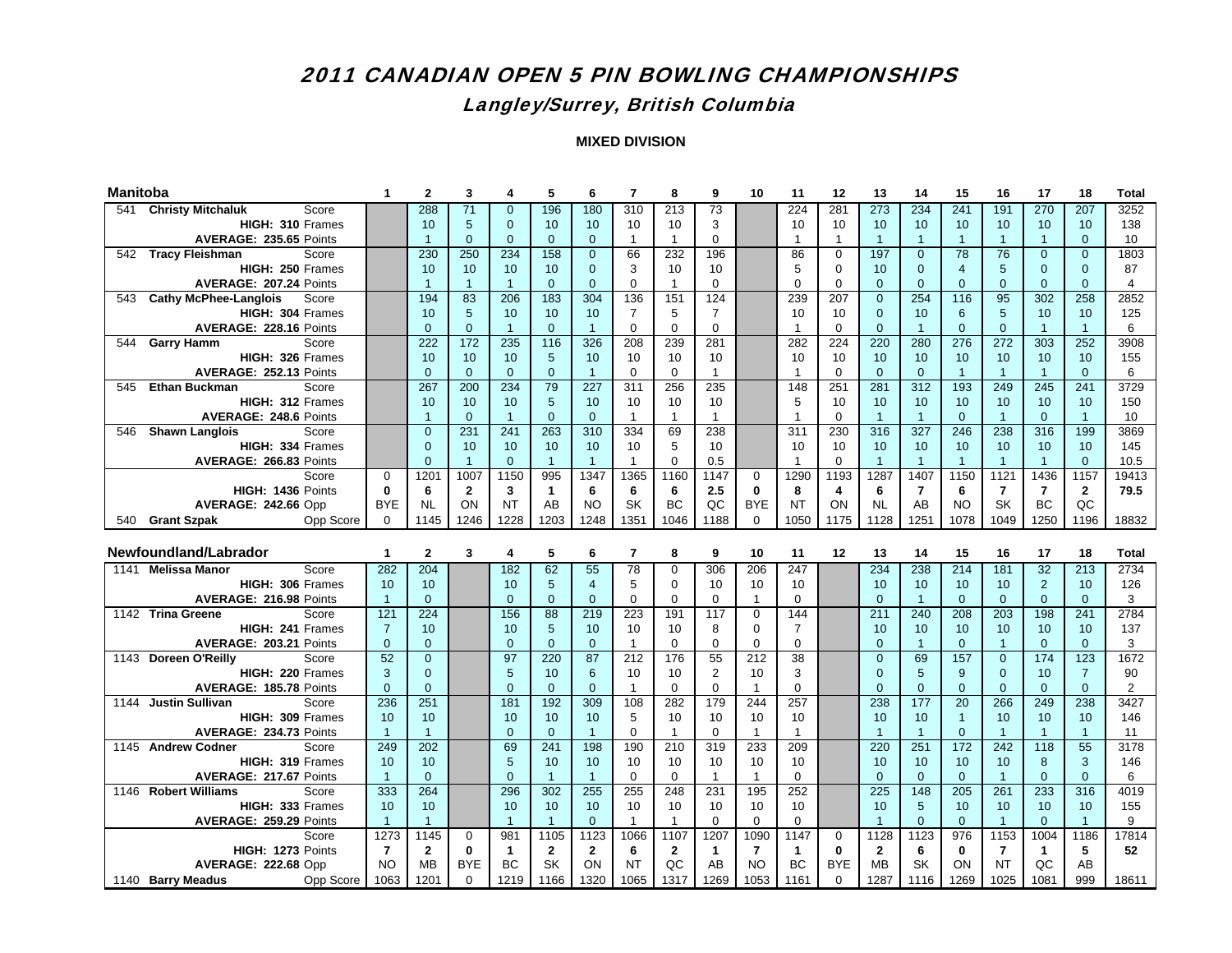### Langley/Surrey, British Columbia

| <b>Manitoba</b> |                                                   |                | $\mathbf{2}$    | 3               | 4               | 5                    | 6              | $\overline{7}$ | 8              | 9              | 10             | 11             | 12           | 13                   | 14               | 15                 | 16             | 17                       | 18              | <b>Total</b>   |
|-----------------|---------------------------------------------------|----------------|-----------------|-----------------|-----------------|----------------------|----------------|----------------|----------------|----------------|----------------|----------------|--------------|----------------------|------------------|--------------------|----------------|--------------------------|-----------------|----------------|
| 541             | <b>Christy Mitchaluk</b><br>Score                 |                | 288             | 71              | $\mathbf{0}$    | 196                  | 180            | 310            | 213            | 73             |                | 224            | 281          | 273                  | 234              | 241                | 191            | 270                      | 207             | 3252           |
|                 | HIGH: 310 Frames                                  |                | 10              | 5               | $\mathbf{0}$    | 10                   | 10             | 10             | 10             | 3              |                | 10             | 10           | 10                   | 10               | 10                 | 10             | 10                       | 10              | 138            |
|                 | AVERAGE: 235.65 Points                            |                | $\overline{1}$  | $\Omega$        | $\overline{0}$  | $\mathbf{0}$         | $\Omega$       | $\overline{1}$ | $\mathbf{1}$   | $\Omega$       |                | $\mathbf{1}$   | $\mathbf{1}$ | $\overline{1}$       | $\overline{1}$   | $\overline{1}$     | $\mathbf{1}$   | $\overline{1}$           | $\mathbf{0}$    | 10             |
|                 | 542 Tracy Fleishman<br>Score                      |                | 230             | 250             | 234             | 158                  | $\Omega$       | 66             | 232            | 196            |                | 86             | $\mathbf 0$  | 197                  | $\mathbf{0}$     | 78                 | 76             | $\Omega$                 | $\Omega$        | 1803           |
|                 | HIGH: 250 Frames                                  |                | 10              | 10              | 10 <sup>1</sup> | 10                   | $\Omega$       | 3              | 10             | 10             |                | 5              | $\Omega$     | 10                   | $\Omega$         | $\overline{4}$     | 5              | $\Omega$                 | $\Omega$        | 87             |
|                 | AVERAGE: 207.24 Points                            |                | $\mathbf{1}$    | $\mathbf{1}$    | $\overline{1}$  | $\overline{0}$       | $\Omega$       | $\Omega$       | $\mathbf{1}$   | $\Omega$       |                | $\Omega$       | $\Omega$     | $\Omega$             | $\mathbf{0}$     | $\mathbf{0}$       | $\overline{0}$ | $\overline{0}$           | $\overline{0}$  | $\overline{4}$ |
| 543             | <b>Cathy McPhee-Langlois</b><br>Score             |                | 194             | 83              | 206             | 183                  | 304            | 136            | 151            | 124            |                | 239            | 207          | $\Omega$             | 254              | 116                | 95             | 302                      | 258             | 2852           |
|                 | HIGH: 304 Frames                                  |                | 10              | 5               | 10              | 10                   | 10             | 7              | 5              | $\overline{7}$ |                | 10             | 10           | $\Omega$             | 10               | 6                  | 5              | 10                       | 10              | 125            |
|                 | AVERAGE: 228.16 Points                            |                | $\overline{0}$  | $\overline{0}$  | $\overline{1}$  | $\mathbf{0}$         | $\overline{1}$ | $\mathbf 0$    | $\mathbf 0$    | $\overline{0}$ |                | $\mathbf{1}$   | $\mathbf 0$  | $\Omega$             | $\overline{1}$   | $\mathbf{0}$       | $\overline{0}$ | $\overline{1}$           | $\overline{1}$  | 6              |
| 544             | <b>Garry Hamm</b><br>Score                        |                | 222             | $\frac{1}{172}$ | 235             | $\overline{116}$     | 326            | 208            | 239            | 281            |                | 282            | 224          | 220                  | 280              | 276                | 272            | 303                      | 252             | 3908           |
|                 | HIGH: 326 Frames                                  |                | 10              | 10              | 10              | 5                    | 10             | 10             | 10             | 10             |                | 10             | 10           | 10                   | 10               | 10 <sup>1</sup>    | 10             | 10 <sup>10</sup>         | 10              | 155            |
|                 | AVERAGE: 252.13 Points                            |                | $\Omega$        | $\Omega$        | $\Omega$        | $\Omega$             | $\mathbf{1}$   | $\Omega$       | $\Omega$       | $\mathbf{1}$   |                | $\mathbf{1}$   | $\Omega$     | $\Omega$             | $\Omega$         | $\overline{1}$     | $\mathbf{1}$   | $\mathbf{1}$             | $\Omega$        | 6              |
| 545             | <b>Ethan Buckman</b><br>Score                     |                | 267             | 200             | 234             | 79                   | 227            | 311            | 256            | 235            |                | 148            | 251          | 281                  | 312              | 193                | 249            | 245                      | 241             | 3729           |
|                 | HIGH: 312 Frames                                  |                | 10              | 10              | 10 <sup>°</sup> | 5                    | 10             | 10             | 10             | 10             |                | 5              | 10           | 10                   | 10               | 10 <sup>°</sup>    | 10             | 10 <sup>10</sup>         | 10              | 150            |
|                 | AVERAGE: 248.6 Points                             |                | $\mathbf{1}$    | $\mathbf{0}$    | $\overline{1}$  | $\mathbf{0}$         | $\mathbf{0}$   | $\overline{1}$ | $\mathbf{1}$   | $\overline{1}$ |                | $\mathbf{1}$   | 0            | $\overline{1}$       | $\overline{1}$   | $\mathbf{0}$       | $\overline{1}$ | $\overline{0}$           | $\overline{1}$  | 10             |
| 546             | <b>Shawn Langlois</b><br>Score                    |                | $\overline{0}$  | 231             | 241             | 263                  | 310            | 334            | 69             | 238            |                | 311            | 230          | 316                  | 327              | 246                | 238            | 316                      | 199             | 3869           |
|                 | HIGH: 334 Frames                                  |                | $\Omega$        | 10              | 10              | 10                   | 10             | 10             | 5              | 10             |                | 10             | 10           | 10                   | 10               | 10 <sup>1</sup>    | 10             | 10 <sup>10</sup>         | 10              | 145            |
|                 | AVERAGE: 266.83 Points                            |                | $\Omega$        | $\mathbf{1}$    | $\Omega$        | $\overline{1}$       | $\overline{1}$ | $\overline{1}$ | $\Omega$       | 0.5            |                | $\mathbf{1}$   | $\mathbf 0$  | $\mathbf{1}$         | $\overline{1}$   | $\overline{1}$     | $\mathbf{1}$   | $\overline{1}$           | $\Omega$        | 10.5           |
|                 | Score                                             | $\Omega$       | 1201            | 1007            | 1150            | 995                  | 1347           | 1365           | 1160           | 1147           | $\Omega$       | 1290           | 1193         | 1287                 | 1407             | 1150               | 1121           | 1436                     | 1157            | 19413          |
|                 | HIGH: 1436 Points                                 | $\mathbf{0}$   | $6\phantom{1}6$ | $\mathbf{2}$    | 3               | $\mathbf{1}$         | 6              | 6              | 6              | 2.5            | 0              | 8              | 4            | 6                    | $\overline{7}$   | 6                  | $\overline{7}$ | $\overline{\phantom{a}}$ | $\mathbf{2}$    | 79.5           |
|                 | <b>AVERAGE: 242.66 Opp</b>                        | <b>BYE</b>     | <b>NL</b>       | ON              | <b>NT</b>       | AB                   | <b>NO</b>      | <b>SK</b>      | <b>BC</b>      | QC             | <b>BYE</b>     | <b>NT</b>      | ON           | <b>NL</b>            | AB               | <b>NO</b>          | SK             | <b>BC</b>                | QC              |                |
|                 | Opp Score<br>540 Grant Szpak                      | $\mathbf 0$    | 1145            | 1246            | 1228            | 1203                 | 1248           | 1351           | 1046           | 1188           | $\Omega$       | 1050           | 1175         | 1128                 | 1251             | 1078               | 1049           | 1250                     | 1196            | 18832          |
|                 |                                                   |                |                 |                 |                 |                      |                |                |                |                |                |                |              |                      |                  |                    |                |                          |                 |                |
|                 |                                                   |                |                 |                 |                 |                      |                |                |                |                |                |                |              |                      |                  |                    |                |                          |                 |                |
|                 | Newfoundland/Labrador                             | $\mathbf{1}$   | $\mathbf{2}$    | 3               | 4               | 5                    | 6              | $\overline{7}$ | 8              | 9              | 10             | 11             | 12           | 13                   | 14               | 15                 | 16             | 17                       | 18              | <b>Total</b>   |
|                 | 1141 Melissa Manor<br>Score                       | 282            | 204             |                 | 182             | 62                   | 55             | 78             | $\Omega$       | 306            | 206            | 247            |              | 234                  | 238              | 214                | 181            | 32                       | 213             | 2734           |
|                 | HIGH: 306 Frames                                  | 10             | 10              |                 | 10              | 5                    | $\overline{4}$ | 5              | $\Omega$       | 10             | 10             | 10             |              | 10                   | 10               | 10 <sup>10</sup>   | 10             | $\overline{2}$           | 10              | 126            |
|                 | AVERAGE: 216.98 Points                            | $\overline{1}$ | $\overline{0}$  |                 | $\mathbf{0}$    | $\mathbf{0}$         | $\mathbf{0}$   | 0              | 0              | 0              | $\mathbf{1}$   | $\mathbf 0$    |              | $\overline{0}$       | $\overline{1}$   | $\mathbf{0}$       | $\mathbf{0}$   | $\overline{0}$           | $\mathbf{0}$    | 3              |
|                 | 1142 Trina Greene<br>Score                        | 121            | 224             |                 | 156             | 88                   | 219            | 223            | 191            | 117            | $\overline{0}$ | 144            |              | 211                  | 240              | 208                | 203            | 198                      | 241             | 2784           |
|                 | HIGH: 241 Frames                                  | $\overline{7}$ | 10              |                 | 10              | 5                    | 10             | 10             | 10             | 8              | $\mathbf 0$    | $\overline{7}$ |              | 10                   | 10               | 10                 | 10             | 10                       | 10              | 137            |
|                 | AVERAGE: 203.21 Points                            | $\mathbf{0}$   | $\Omega$        |                 | $\Omega$        | $\Omega$             | $\Omega$       | $\overline{1}$ | $\Omega$       | $\Omega$       | $\overline{0}$ | 0              |              | $\Omega$             | $\overline{1}$   | $\Omega$           | $\mathbf{1}$   | $\Omega$                 | $\overline{0}$  | 3              |
|                 | 1143 Doreen O'Reilly<br>Score                     | 52             | $\Omega$        |                 | 97              | 220                  | 87             | 212            | 176            | 55             | 212            | 38             |              | $\Omega$<br>$\Omega$ | 69               | 157                | $\Omega$       | 174                      | 123             | 1672           |
|                 | HIGH: 220 Frames                                  | 3              | $\Omega$        |                 | 5               | 10                   | 6              | 10             | 10             | $\overline{2}$ | 10             | 3              |              |                      | 5                | 9                  | $\Omega$       | 10                       | $\overline{7}$  | 90             |
|                 | AVERAGE: 185.78 Points                            | $\mathbf 0$    | $\mathbf{0}$    |                 | $\overline{0}$  | $\mathbf 0$          | $\mathbf{0}$   | $\overline{1}$ | $\mathbf 0$    | $\mathbf 0$    | $\overline{1}$ | $\mathbf 0$    |              | $\overline{0}$       | $\mathbf 0$      | $\overline{0}$     | $\overline{0}$ | $\mathbf{0}$             | $\mathbf{0}$    | $\sqrt{2}$     |
|                 | 1144 Justin Sullivan<br>Score<br>HIGH: 309 Frames | 236<br>10      | 251<br>10       |                 | 181<br>10       | 192                  | 309<br>10      | 108<br>5       | 282<br>10      | 179<br>10      | 244<br>10      | 257<br>10      |              | 238<br>10            | 177<br>10        | 20<br>$\mathbf{1}$ | 266<br>10      | 249<br>10                | 238<br>10       | 3427<br>146    |
|                 | AVERAGE: 234.73 Points                            | $\overline{1}$ | $\mathbf{1}$    |                 | $\overline{0}$  | 10<br>$\overline{0}$ | $\overline{1}$ | $\Omega$       | $\overline{1}$ | $\Omega$       | $\mathbf{1}$   | $\overline{1}$ |              | $\mathbf{1}$         | $\overline{1}$   | $\overline{0}$     | $\mathbf{1}$   | $\overline{1}$           | $\overline{1}$  | 11             |
|                 | 1145 Andrew Codner<br>Score                       | 249            | 202             |                 | 69              | 241                  | 198            | 190            | 210            | 319            | 233            | 209            |              | 220                  | 251              | 172                | 242            | 118                      | $\overline{55}$ | 3178           |
|                 | HIGH: 319 Frames                                  | 10             | 10              |                 | 5               | 10                   | 10             | 10             | 10             | 10             | 10             | 10             |              | 10                   | 10               | 10                 | 10             | 8                        | 3               | 146            |
|                 | AVERAGE: 217.67 Points                            | $\mathbf{1}$   | $\Omega$        |                 | $\Omega$        | $\overline{1}$       | $\overline{1}$ | $\Omega$       | $\Omega$       | $\overline{1}$ | $\mathbf{1}$   | $\Omega$       |              | $\Omega$             | $\Omega$         | $\Omega$           | $\overline{1}$ | $\Omega$                 | $\Omega$        | 6              |
| 1146            | <b>Robert Williams</b><br>Score                   | 333            | 264             |                 | 296             | 302                  | 255            | 255            | 248            | 231            | 195            | 252            |              | 225                  | $\overline{148}$ | 205                | 261            | 233                      | 316             | 4019           |
|                 | HIGH: 333 Frames                                  | 10             | 10              |                 | 10              | 10 <sup>1</sup>      | 10             | 10             | 10             | 10             | 10             | 10             |              | 10                   | $5\phantom{1}$   | 10 <sup>1</sup>    | 10             | 10                       | 10              | 155            |
|                 | AVERAGE: 259.29 Points                            | $\overline{1}$ | $\overline{1}$  |                 | $\overline{1}$  | $\overline{1}$       | $\Omega$       | $\overline{1}$ | $\mathbf{1}$   | $\mathbf 0$    | $\Omega$       | $\mathbf 0$    |              | $\mathbf{1}$         | $\mathbf{0}$     | $\mathbf{0}$       | $\overline{1}$ | $\Omega$                 | $\overline{1}$  | 9              |
|                 | Score                                             | 1273           | 1145            | 0               | 981             | 1105                 | 1123           | 1066           | 1107           | 1207           | 1090           | 1147           | 0            | 1128                 | 1123             | 976                | 1153           | 1004                     | 1186            | 17814          |
|                 | HIGH: 1273 Points                                 | $\overline{7}$ | $\overline{2}$  | $\mathbf{0}$    | $\mathbf{1}$    | $\mathbf{2}$         | $\mathbf{2}$   | 6              | $\mathbf{2}$   | $\mathbf{1}$   | $\overline{7}$ | $\mathbf{1}$   | $\bf{0}$     | $\overline{2}$       | 6                | $\mathbf{0}$       | $\overline{7}$ | $\mathbf{1}$             | 5               | 52             |
|                 | <b>AVERAGE: 222.68 Opp</b>                        | <b>NO</b>      | <b>MB</b>       | <b>BYE</b>      | BC              | <b>SK</b>            | ON             | <b>NT</b>      | QC             | AB             | <b>NO</b>      | <b>BC</b>      | <b>BYE</b>   | <b>MB</b>            | SK               | ON                 | <b>NT</b>      | QC                       | AB              |                |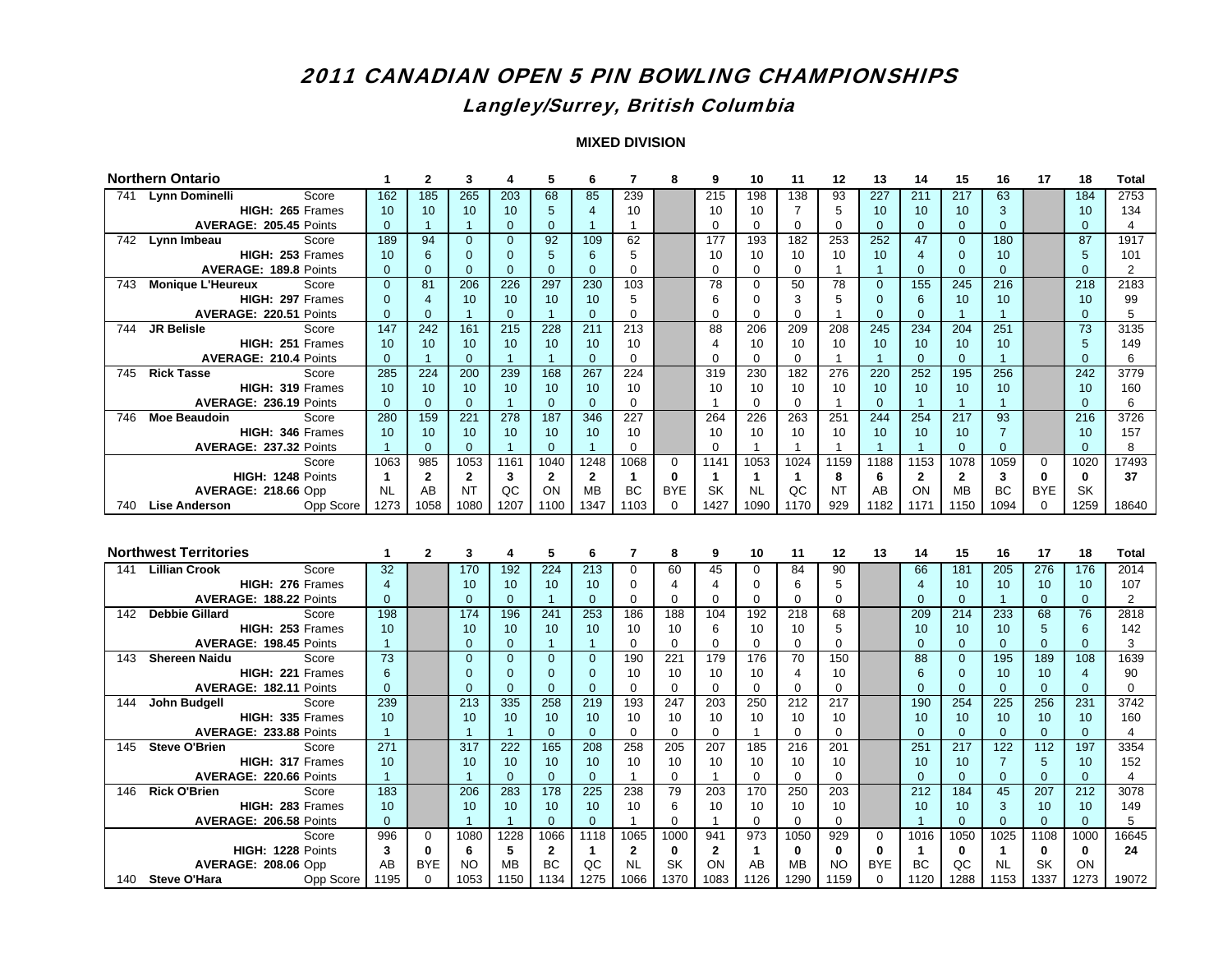## Langley/Surrey, British Columbia

|     | <b>Northern Ontario</b>                                 | 1                    | $\mathbf{2}$        | 3                    | 4                        | 5                    | 6                    | $\overline{7}$    | 8              | 9                | 10             | 11                | 12                 | 13             | 14                   | 15                       | 16                  | 17                    | 18                    | <b>Total</b>   |
|-----|---------------------------------------------------------|----------------------|---------------------|----------------------|--------------------------|----------------------|----------------------|-------------------|----------------|------------------|----------------|-------------------|--------------------|----------------|----------------------|--------------------------|---------------------|-----------------------|-----------------------|----------------|
| 741 | Lynn Dominelli<br>Score                                 | 162                  | 185                 | 265                  | 203                      | 68                   | 85                   | 239               |                | $\overline{215}$ | 198            | 138               | 93                 | 227            | $\overline{211}$     | 217                      | 63                  |                       | 184                   | 2753           |
|     | HIGH: 265 Frames                                        | 10                   | 10                  | 10                   | 10                       | $\sqrt{5}$           | $\overline{4}$       | 10                |                | 10               | 10             | $\overline{7}$    | 5                  | 10             | 10                   | 10 <sup>1</sup>          | 3                   |                       | 10                    | 134            |
|     | AVERAGE: 205.45 Points                                  | $\mathbf{0}$         | $\mathbf{1}$        | $\mathbf{1}$         | $\overline{0}$           | $\mathbf{0}$         | $\overline{1}$       | $\overline{1}$    |                | $\Omega$         | 0              | $\mathbf 0$       | $\Omega$           | $\Omega$       | $\overline{0}$       | $\Omega$                 | $\mathbf{0}$        |                       | $\Omega$              | $\overline{4}$ |
|     | 742 Lynn Imbeau<br>Score                                | 189                  | 94                  | $\overline{0}$       | $\overline{0}$           | 92                   | 109                  | 62                |                | 177              | 193            | 182               | 253                | 252            | 47                   | $\overline{0}$           | 180                 |                       | 87                    | 1917           |
|     | HIGH: 253 Frames                                        | 10                   | $6\phantom{1}$      | $\Omega$             | $\Omega$                 | 5                    | 6                    | 5                 |                | 10               | 10             | 10                | 10                 | 10             | $\overline{4}$       | $\Omega$                 | 10                  |                       | 5                     | 101            |
|     | AVERAGE: 189.8 Points                                   | $\Omega$             | $\Omega$            | $\Omega$             | $\Omega$                 | $\Omega$             | $\Omega$             | $\Omega$          |                | $\Omega$         | $\Omega$       | $\Omega$          | $\mathbf{1}$       | $\mathbf{1}$   | $\Omega$             | $\Omega$                 | $\Omega$            |                       | $\Omega$              | 2              |
|     | 743 Monique L'Heureux<br>Score                          | $\mathbf{0}$         | 81                  | 206                  | 226                      | 297                  | 230                  | 103               |                | 78               | $\Omega$       | 50                | 78                 | $\Omega$       | 155                  | $\frac{245}{5}$          | 216                 |                       | $\overline{218}$      | 2183           |
|     | HIGH: 297 Frames                                        | $\Omega$             | $\overline{4}$      | 10                   | 10                       | 10                   | 10                   | 5                 |                | 6                | $\Omega$       | 3                 | 5                  | $\Omega$       | 6                    | 10 <sup>1</sup>          | 10                  |                       | 10                    | 99             |
|     | AVERAGE: 220.51 Points                                  | $\mathbf{0}$         | $\Omega$            | $\mathbf{1}$         | $\overline{0}$           | $\overline{1}$       | $\Omega$             | $\Omega$          |                | $\Omega$         | $\Omega$       | $\Omega$          | $\mathbf{1}$       | $\Omega$       | $\Omega$             | $\overline{1}$           | $\mathbf{1}$        |                       | $\Omega$              | 5              |
| 744 | <b>JR Belisle</b><br>Score                              | 147                  | 242                 | $\frac{161}{161}$    | $\overline{215}$         | 228                  | $\overline{211}$     | 213               |                | 88               | 206            | 209               | 208                | 245            | 234                  | 204                      | 251                 |                       | 73                    | 3135           |
|     | HIGH: 251 Frames                                        | 10                   | 10 <sup>1</sup>     | 10                   | 10                       | 10                   | 10                   | 10                |                | $\overline{4}$   | 10             | 10                | 10                 | 10             | 10                   | 10 <sup>1</sup>          | 10                  |                       | 5                     | 149            |
|     | <b>AVERAGE: 210.4 Points</b>                            | $\mathbf{0}$         | $\mathbf{1}$<br>224 | $\overline{0}$       | $\overline{1}$           | $\blacktriangleleft$ | $\Omega$             | $\Omega$          |                | $\Omega$         | $\Omega$       | $\mathbf 0$       | $\mathbf{1}$       | $\overline{1}$ | $\mathbf{0}$         | $\overline{0}$<br>195    | $\overline{1}$      |                       | $\Omega$<br>242       | 6              |
|     | 745 Rick Tasse<br>Score<br>HIGH: 319 Frames             | 285                  | 10                  | 200                  | 239<br>10                | 168                  | 267<br>10            | $\overline{224}$  |                | 319<br>10        | 230            | 182               | 276                | 220            | 252                  | 10 <sup>1</sup>          | 256<br>10           |                       |                       | 3779<br>160    |
|     |                                                         | 10<br>$\mathbf{0}$   | $\Omega$            | 10<br>$\overline{0}$ | $\overline{1}$           | 10<br>$\mathbf{0}$   | $\mathbf{0}$         | 10<br>$\mathbf 0$ |                | $\mathbf{1}$     | 10<br>$\Omega$ | 10<br>$\Omega$    | 10<br>$\mathbf{1}$ | 10<br>$\Omega$ | 10<br>$\overline{1}$ | $\overline{1}$           | $\mathbf{1}$        |                       | 10<br>$\Omega$        | 6              |
| 746 | AVERAGE: 236.19 Points<br><b>Moe Beaudoin</b><br>Score  | 280                  | 159                 | 221                  | 278                      | 187                  | 346                  | 227               |                | 264              | 226            | 263               | 251                | 244            | 254                  | 217                      | 93                  |                       | 216                   | 3726           |
|     | HIGH: 346 Frames                                        | 10                   | 10                  | 10                   | 10                       | 10                   | 10                   | 10                |                | 10               | 10             | 10                | 10                 | 10             | 10                   | 10 <sup>1</sup>          | $\overline{7}$      |                       | 10                    | 157            |
|     | AVERAGE: 237.32 Points                                  | $\overline{1}$       | $\Omega$            | $\Omega$             | $\overline{1}$           | $\Omega$             | $\mathbf{1}$         | $\Omega$          |                | $\Omega$         | $\mathbf{1}$   | $\mathbf{1}$      | $\mathbf{1}$       | $\mathbf{1}$   | $\overline{1}$       | $\Omega$                 | $\Omega$            |                       | $\Omega$              | 8              |
|     | Score                                                   | 1063                 | 985                 | 1053                 | 1161                     | 1040                 | 1248                 | 1068              | 0              | 1141             | 1053           | 1024              | 1159               | 1188           | 1153                 | 1078                     | 1059                | $\mathbf 0$           | 1020                  | 17493          |
|     | HIGH: 1248 Points                                       | $\mathbf{1}$         | $\mathbf{2}$        | $\mathbf{2}$         | 3                        | $\mathbf{2}$         | $\mathbf{2}$         | $\mathbf{1}$      | $\bf{0}$       | $\mathbf{1}$     | $\mathbf{1}$   | $\mathbf{1}$      | 8                  | 6              | $\mathbf{2}$         | $\mathbf{2}$             | $\mathbf{3}$        | $\mathbf{0}$          | $\mathbf{0}$          | 37             |
|     | <b>AVERAGE: 218.66 Opp</b>                              | <b>NL</b>            | AB                  | <b>NT</b>            | QC                       | ON                   | MB                   | <b>BC</b>         | <b>BYE</b>     | <b>SK</b>        | <b>NL</b>      | QC                | <b>NT</b>          | AB             | ON                   | <b>MB</b>                | <b>BC</b>           | <b>BYE</b>            | <b>SK</b>             |                |
|     | 740 Lise Anderson<br>Opp Score                          | 1273                 | 1058                | 1080                 | 1207                     | 1100                 | 1347                 | 1103              | $\mathbf 0$    | 1427             | 1090           | 1170              | 929                | 1182           | 1171                 | 1150                     | 1094                | $\Omega$              | 1259                  | 18640          |
|     |                                                         |                      |                     |                      |                          |                      |                      |                   |                |                  |                |                   |                    |                |                      |                          |                     |                       |                       |                |
|     |                                                         |                      |                     |                      |                          |                      |                      |                   |                |                  |                |                   |                    |                |                      |                          |                     |                       |                       |                |
|     |                                                         |                      |                     |                      |                          |                      |                      |                   |                |                  |                |                   |                    |                |                      |                          |                     |                       |                       |                |
|     |                                                         |                      |                     |                      |                          |                      |                      |                   |                |                  |                |                   |                    |                |                      |                          |                     |                       |                       |                |
|     | <b>Northwest Territories</b>                            | 1                    | $\mathbf{2}$        | 3                    | 4                        | 5                    | 6                    | $\overline{7}$    | 8              | 9                | 10             | 11                | 12                 | 13             | 14                   | 15                       | 16                  | 17                    | 18                    | <b>Total</b>   |
|     | 141 Lillian Crook<br>Score                              | 32                   |                     | 170                  | 192                      | 224                  | 213                  | 0                 | 60             | 45               | $\mathbf 0$    | 84                | 90                 |                | 66                   | 181                      | 205                 | 276                   | 176                   | 2014           |
|     | HIGH: 276 Frames                                        | $\overline{4}$       |                     | 10                   | 10                       | 10                   | 10                   | $\Omega$          | $\overline{4}$ | $\overline{4}$   | $\mathbf 0$    | 6                 | 5                  |                | $\overline{4}$       | 10                       | 10                  | 10                    | 10                    | 107            |
|     | AVERAGE: 188.22 Points                                  | $\overline{0}$       |                     | $\Omega$             | $\overline{0}$           | $\overline{1}$       | $\mathbf{0}$         | $\mathbf 0$       | $\mathbf 0$    | $\Omega$         | $\mathbf 0$    | $\mathbf 0$       | $\mathbf 0$        |                | $\mathbf{0}$         | $\overline{0}$           | $\mathbf{1}$        | $\overline{0}$        | $\mathbf{0}$          | $\overline{2}$ |
| 142 | <b>Debbie Gillard</b><br>Score                          | 198                  |                     | 174                  | 196                      | 241                  | 253                  | 186               | 188            | 104              | 192            | 218               | 68                 |                | 209                  | 214                      | 233                 | 68                    | 76                    | 2818           |
|     | HIGH: 253 Frames                                        | 10                   |                     | 10<br>$\Omega$       | 10                       | 10<br>$\overline{1}$ | 10<br>$\overline{1}$ | 10<br>$\Omega$    | 10             | 6<br>$\Omega$    | 10<br>$\Omega$ | 10                | 5                  |                | 10                   | 10 <sup>1</sup>          | 10                  | 5                     | 6                     | 142            |
| 143 | AVERAGE: 198.45 Points<br><b>Shereen Naidu</b><br>Score | $\overline{1}$       |                     | $\Omega$             | $\mathbf{0}$<br>$\Omega$ | $\Omega$             | $\Omega$             |                   | $\mathbf 0$    |                  |                | $\mathbf 0$<br>70 | $\mathbf 0$        |                | $\mathbf{0}$<br>88   | $\mathbf{0}$<br>$\Omega$ | $\mathbf{0}$<br>195 | $\overline{0}$<br>189 | $\overline{0}$<br>108 | 3<br>1639      |
|     | HIGH: 221 Frames                                        | $\overline{73}$<br>6 |                     | $\Omega$             | $\Omega$                 | $\Omega$             | $\Omega$             | 190<br>10         | 221<br>10      | 179<br>10        | 176<br>10      | 4                 | 150<br>10          |                | 6                    | $\Omega$                 | 10                  | 10                    | $\overline{4}$        | 90             |
|     | AVERAGE: 182.11 Points                                  | $\overline{0}$       |                     | $\Omega$             | $\overline{0}$           | $\overline{0}$       | $\overline{0}$       | $\mathbf 0$       | $\mathbf{0}$   | $\overline{0}$   | $\Omega$       | $\mathbf 0$       | $\mathbf 0$        |                | $\mathbf{0}$         | $\overline{0}$           | $\mathbf{0}$        | $\mathbf{0}$          | $\overline{0}$        | $\mathbf 0$    |
| 144 | John Budgell<br>Score                                   | 239                  |                     | 213                  | 335                      | 258                  | 219                  | 193               | 247            | 203              | 250            | 212               | 217                |                | 190                  | 254                      | 225                 | 256                   | 231                   | 3742           |
|     | HIGH: 335 Frames                                        | 10                   |                     | 10                   | 10                       | 10                   | 10                   | 10                | 10             | 10               | 10             | 10                | 10                 |                | 10                   | 10 <sup>1</sup>          | 10                  | 10                    | 10                    | 160            |
|     | AVERAGE: 233.88 Points                                  | $\overline{1}$       |                     | $\mathbf{1}$         | $\overline{1}$           | $\mathbf{0}$         | $\mathbf{0}$         | $\Omega$          | $\mathbf 0$    | $\mathbf 0$      | $\mathbf{1}$   | $\mathbf 0$       | $\mathbf 0$        |                | $\mathbf{0}$         | $\mathbf{0}$             | $\mathbf{0}$        | $\overline{0}$        | $\mathbf{0}$          | $\overline{4}$ |
| 145 | <b>Steve O'Brien</b><br>Score                           | 271                  |                     | 317                  | 222                      | 165                  | 208                  | 258               | 205            | 207              | 185            | 216               | 201                |                | 251                  | 217                      | 122                 | 112                   | 197                   | 3354           |
|     | HIGH: 317 Frames                                        | 10                   |                     | 10                   | 10                       | 10                   | 10                   | 10                | 10             | 10               | 10             | 10                | 10                 |                | 10                   | 10 <sup>1</sup>          | $\overline{7}$      | 5                     | 10                    | 152            |
|     | AVERAGE: 220.66 Points                                  | $\overline{1}$       |                     | $\mathbf{1}$         | $\mathbf{0}$             | $\overline{0}$       | $\mathbf{0}$         | $\overline{1}$    | $\mathbf 0$    | $\overline{1}$   | $\Omega$       | $\mathbf 0$       | $\mathbf 0$        |                | $\mathbf{0}$         | $\overline{0}$           | $\overline{0}$      | $\overline{0}$        | $\mathbf{0}$          | $\overline{4}$ |
| 146 | <b>Rick O'Brien</b><br>Score                            | 183                  |                     | 206                  | 283                      | 178                  | 225                  | 238               | 79             | 203              | 170            | 250               | 203                |                | 212                  | 184                      | 45                  | 207                   | 212                   | 3078           |
|     | HIGH: 283 Frames                                        | 10                   |                     | 10                   | 10                       | 10                   | 10                   | 10                | 6              | 10               | 10             | 10                | 10                 |                | 10                   | 10 <sup>10</sup>         | 3                   | 10                    | 10                    | 149            |
|     | AVERAGE: 206.58 Points                                  | $\overline{0}$       |                     | $\mathbf{1}$         | $\overline{1}$           | $\mathbf{0}$         | $\Omega$             | $\mathbf{1}$      | $\mathbf 0$    | $\mathbf{1}$     | $\Omega$       | $\mathbf 0$       | $\mathbf 0$        |                | $\overline{1}$       | $\mathbf{0}$             | $\overline{0}$      | $\Omega$              | $\mathbf{0}$          | 5              |
|     | Score                                                   | 996                  | $\Omega$            | 1080                 | 1228                     | 1066                 | 1118                 | 1065              | 1000           | 941              | 973            | 1050              | 929                | $\Omega$       | 1016                 | 1050                     | 1025                | 1108                  | 1000                  | 16645          |
|     | HIGH: 1228 Points                                       | 3                    | $\mathbf{0}$        | 6                    | 5                        | $\mathbf{2}$         | 1                    | $\mathbf{2}$      | $\bf{0}$       | $\overline{2}$   | $\mathbf{1}$   | $\mathbf{0}$      | $\mathbf{0}$       | 0              | $\mathbf{1}$         | $\bf{0}$                 | 1                   | $\bf{0}$              | $\mathbf{0}$          | 24             |
|     | <b>AVERAGE: 208.06 Opp</b>                              | AB                   | <b>BYE</b>          | <b>NO</b>            | <b>MB</b>                | <b>BC</b>            | QC                   | <b>NL</b>         | <b>SK</b>      | ON               | AB             | <b>MB</b><br>1290 | <b>NO</b>          | <b>BYE</b>     | <b>BC</b>            | QC                       | <b>NL</b>           | <b>SK</b>             | ON                    | 19072          |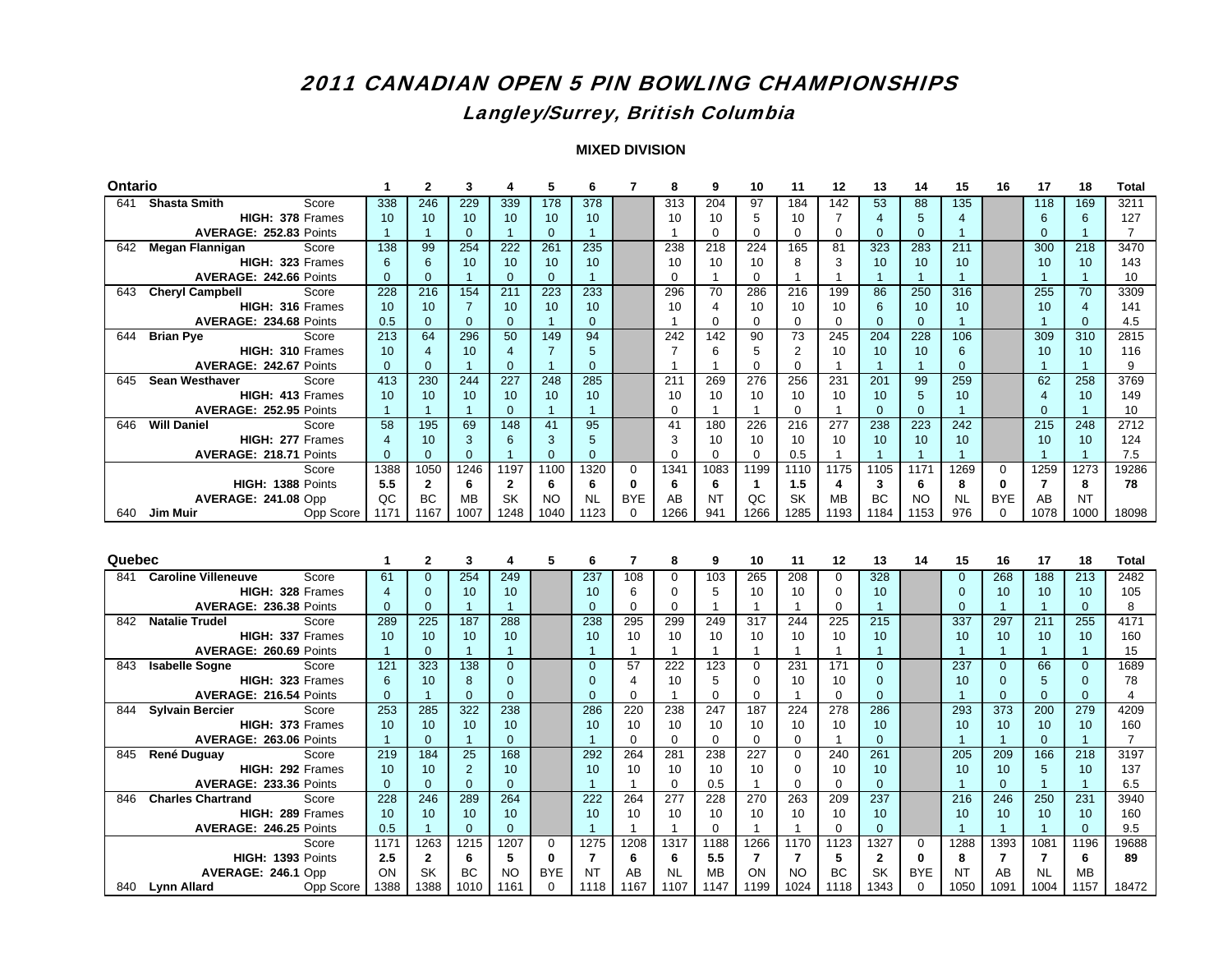## Langley/Surrey, British Columbia

| Ontario |                                                    | 1              | $\mathbf{2}$      | 3                 | 4                 | 5                      | 6                 | $\overline{7}$ | 8                 | 9                 | 10             | 11                | 12                | 13                | 14                     | 15                | 16             | 17                | 18                   | <b>Total</b>   |
|---------|----------------------------------------------------|----------------|-------------------|-------------------|-------------------|------------------------|-------------------|----------------|-------------------|-------------------|----------------|-------------------|-------------------|-------------------|------------------------|-------------------|----------------|-------------------|----------------------|----------------|
|         | 641 Shasta Smith<br>Score                          | 338            | 246               | 229               | 339               | 178                    | 378               |                | 313               | 204               | 97             | 184               | $\overline{142}$  | 53                | 88                     | 135               |                | 118               | 169                  | 3211           |
|         | HIGH: 378 Frames                                   | 10             | 10                | 10                | 10 <sup>1</sup>   | 10                     | 10                |                | 10                | 10                | 5              | 10                | $\overline{7}$    | $\overline{4}$    | 5                      | $\overline{4}$    |                | 6                 | 6                    | 127            |
|         | AVERAGE: 252.83 Points                             | $\overline{1}$ | $\mathbf{1}$      | $\overline{0}$    | $\overline{1}$    | $\mathbf{0}$           | $\overline{1}$    |                | $\mathbf{1}$      | $\mathbf 0$       | $\Omega$       | $\mathbf 0$       | $\mathbf 0$       | $\overline{0}$    | $\mathbf 0$            | $\overline{1}$    |                | $\overline{0}$    | $\overline{1}$       | $\overline{7}$ |
|         | 642 Megan Flannigan<br>Score                       | 138            | 99                | 254               | 222               | 261                    | 235               |                | 238               | 218               | 224            | 165               | 81                | 323               | 283                    | 211               |                | 300               | 218                  | 3470           |
|         | HIGH: 323 Frames                                   | 6              | 6                 | 10                | 10                | 10                     | 10                |                | 10                | 10                | 10             | 8                 | 3                 | 10                | 10                     | 10                |                | 10                | 10                   | 143            |
|         | AVERAGE: 242.66 Points                             | $\mathbf{0}$   | $\Omega$          | $\mathbf{1}$      | $\Omega$          | $\Omega$               | $\overline{1}$    |                | $\Omega$          | $\mathbf{1}$      | $\Omega$       | $\mathbf{1}$      | $\mathbf{1}$      | $\mathbf{1}$      | $\overline{1}$         | $\overline{1}$    |                | $\overline{1}$    | $\blacktriangleleft$ | 10             |
|         | 643 Cheryl Campbell<br>Score                       | 228            | 216               | 154               | 211               | 223                    | 233               |                | 296               | 70                | 286            | 216               | 199               | 86                | 250                    | 316               |                | 255               | 70                   | 3309           |
|         | HIGH: 316 Frames                                   | 10             | 10                | $\overline{7}$    | 10                | 10                     | 10                |                | 10                | 4                 | 10             | 10                | 10                | 6                 | 10                     | 10                |                | 10 <sup>10</sup>  | $\overline{4}$       | 141            |
|         | AVERAGE: 234.68 Points                             | 0.5            | $\Omega$          | $\Omega$          | $\Omega$          | $\overline{1}$         | $\Omega$          |                | $\overline{1}$    | $\Omega$          | $\Omega$       | $\Omega$          | $\Omega$          | $\Omega$          | $\Omega$               | $\overline{1}$    |                | $\overline{1}$    | $\Omega$             | 4.5            |
| 644     | Score<br><b>Brian Pye</b>                          | 213            | 64                | 296               | 50                | 149                    | 94                |                | 242               | 142               | 90             | 73                | 245               | 204               | 228                    | 106               |                | 309               | 310                  | 2815           |
|         | HIGH: 310 Frames                                   | 10             | $\overline{4}$    | 10                | 4                 | $\overline{7}$         | 5                 |                | $\overline{7}$    | 6                 | 5              | 2                 | 10                | 10                | 10                     | 6                 |                | 10                | 10                   | 116            |
|         | AVERAGE: 242.67 Points                             | $\overline{0}$ | $\overline{0}$    | $\mathbf{1}$      | $\overline{0}$    | $\overline{1}$         | $\Omega$          |                | $\overline{1}$    | $\mathbf{1}$      | $\mathbf 0$    | $\mathbf 0$       | $\mathbf{1}$      | $\overline{1}$    | $\mathbf{1}$           | $\mathbf{0}$      |                | $\mathbf{1}$      | $\overline{1}$       | 9              |
| 645     | <b>Sean Westhaver</b><br>Score                     | 413            | 230               | 244               | 227               | 248                    | 285               |                | 211               | 269               | 276            | 256               | 231               | 201               | 99                     | 259               |                | 62                | 258                  | 3769           |
|         | HIGH: 413 Frames                                   | 10             | 10                | 10                | 10                | 10                     | 10                |                | 10                | 10                | 10             | 10                | 10                | 10                | 5                      | 10                |                | $\overline{4}$    | 10                   | 149            |
|         | AVERAGE: 252.95 Points                             | $\overline{1}$ | $\mathbf{1}$      | $\mathbf{1}$      | $\mathbf{0}$      | $\overline{1}$         | $\overline{1}$    |                | $\mathbf 0$       | $\mathbf{1}$      | $\overline{1}$ | $\Omega$          | $\mathbf{1}$      | $\Omega$          | $\mathbf{0}$           | $\overline{1}$    |                | $\Omega$          | $\overline{1}$       | 10             |
| 646     | <b>Will Daniel</b><br>Score                        | 58             | 195               | 69                | 148               | 41                     | 95                |                | 41                | 180               | 226            | 216               | 277               | 238               | 223                    | 242               |                | 215               | 248                  | 2712           |
|         | HIGH: 277 Frames                                   | $\overline{4}$ | 10                | 3                 | 6                 | 3                      | 5                 |                | 3                 | 10                | 10             | 10                | 10                | 10                | 10                     | 10                |                | 10                | 10                   | 124            |
|         | AVERAGE: 218.71 Points                             | $\mathbf{0}$   | $\overline{0}$    | $\overline{0}$    | $\overline{1}$    | $\mathbf{0}$           | $\mathbf{0}$      |                | $\mathbf 0$       | $\Omega$          | 0              | 0.5               | $\mathbf{1}$      | $\mathbf{1}$      | $\overline{1}$         | $\overline{1}$    |                | $\mathbf{1}$      | $\overline{1}$       | 7.5            |
|         | Score                                              | 1388           | 1050              | 1246              | 1197              | 1100                   | 1320              | $\Omega$       | 1341              | 1083              | 1199           | 1110              | 1175              | 1105              | 1171                   | 1269              | 0              | 1259              | 1273                 | 19286          |
|         | HIGH: 1388 Points                                  | 5.5            | $\mathbf{2}$      | 6                 | $\mathbf{2}$      | 6                      | 6                 | $\mathbf{0}$   | 6                 | 6                 | $\mathbf{1}$   | 1.5               | 4                 | 3                 | 6                      | 8                 | $\bf{0}$       | $\overline{7}$    | 8                    | 78             |
|         | AVERAGE: 241.08 Opp                                | QC             | <b>BC</b>         | <b>MB</b>         | <b>SK</b>         | <b>NO</b>              | <b>NL</b>         | <b>BYE</b>     | AB                | <b>NT</b>         | QC             | SK                | <b>MB</b>         | <b>BC</b>         | <b>NO</b>              | <b>NL</b>         | <b>BYE</b>     | AB                | <b>NT</b>            |                |
|         | 640 Jim Muir<br>Opp Score                          | 1171           | 1167              | 1007              | 1248              | 1040                   | 1123              | $\Omega$       | 1266              | 941               | 1266           | 1285              | 1193              | 1184              | 1153                   | 976               | $\Omega$       | 1078              | 1000                 | 18098          |
|         |                                                    |                |                   |                   |                   |                        |                   |                |                   |                   |                |                   |                   |                   |                        |                   |                |                   |                      |                |
|         |                                                    |                |                   |                   |                   |                        |                   |                |                   |                   |                |                   |                   |                   |                        |                   |                |                   |                      |                |
|         |                                                    |                |                   |                   |                   |                        |                   |                |                   |                   |                |                   |                   |                   |                        |                   |                |                   |                      |                |
| Quebec  |                                                    | 1              | $\mathbf{2}$      | 3                 | 4                 | 5                      | 6                 | 7              | 8                 | 9                 | 10             | 11                | 12                | 13                | 14                     | 15                | 16             | 17                | 18                   | Total          |
|         | 841 Caroline Villeneuve<br>Score                   | 61             | $\overline{0}$    | 254               | 249               |                        | 237               | 108            | $\mathbf 0$       | 103               | 265            | 208               | $\Omega$          | 328               |                        | $\overline{0}$    | 268            | 188               | 213                  | 2482           |
|         | HIGH: 328 Frames                                   | $\overline{4}$ | $\mathbf{0}$      | 10                | 10                |                        | 10                | 6              | $\mathbf 0$       | 5                 | 10             | 10                | 0                 | 10                |                        | $\mathbf{0}$      | 10             | 10                | 10                   | 105            |
|         | AVERAGE: 236.38 Points                             | $\mathbf{0}$   | $\Omega$          | $\mathbf{1}$      | $\overline{1}$    |                        | $\Omega$          | $\Omega$       | $\mathbf 0$       | $\overline{1}$    | $\mathbf{1}$   | $\mathbf{1}$      | $\mathbf 0$       | $\mathbf{1}$      |                        | $\Omega$          | $\mathbf{1}$   | $\overline{1}$    | $\mathbf{0}$         | 8              |
| 842     | Score<br><b>Natalie Trudel</b>                     | 289            | 225               | 187               | 288               |                        | 238               | 295            | 299               | 249               | 317            | 244               | 225               | 215               |                        | 337               | 297            | 211               | 255                  | 4171           |
|         | HIGH: 337 Frames                                   | 10             | 10                | 10                | 10 <sup>1</sup>   |                        | 10                | 10             | 10                | 10                | 10             | 10                | 10                | 10                |                        | 10 <sup>1</sup>   | 10             | 10 <sup>10</sup>  | 10                   | 160            |
|         | AVERAGE: 260.69 Points                             | $\overline{1}$ | $\Omega$          | $\mathbf{1}$      | $\overline{1}$    |                        | -1                | $\mathbf{1}$   | $\mathbf{1}$      | $\mathbf{1}$      | $\mathbf{1}$   | $\mathbf{1}$      | $\mathbf{1}$      | $\mathbf{1}$      |                        | $\overline{1}$    | $\mathbf{1}$   | $\overline{1}$    | $\overline{1}$       | 15             |
| 843     | <b>Isabelle Sogne</b><br>Score                     | 121            | 323               | 138               | $\overline{0}$    |                        | $\Omega$          | 57             | 222               | 123               | 0              | 231               | 171               | $\Omega$          |                        | 237               | $\overline{0}$ | 66                | $\overline{0}$       | 1689           |
|         | HIGH: 323 Frames                                   | 6              | 10                | 8                 | $\Omega$          |                        | $\Omega$          | 4              | 10                | 5                 | $\Omega$       | 10                | 10                | $\Omega$          |                        | 10                | $\Omega$       | 5                 | $\Omega$             | 78             |
|         | AVERAGE: 216.54 Points                             | $\overline{0}$ | $\mathbf{1}$      | $\Omega$          | $\overline{0}$    |                        | $\Omega$          | $\Omega$       | $\mathbf{1}$      | $\Omega$          | $\Omega$       | $\mathbf{1}$      | $\Omega$          | $\Omega$          |                        | $\overline{1}$    | $\overline{0}$ | $\Omega$          | $\mathbf{0}$         | $\overline{4}$ |
|         | 844 Sylvain Bercier<br>Score                       | 253            | 285               | 322               | 238               |                        | 286               | 220            | 238               | 247               | 187            | 224               | 278               | 286               |                        | 293               | 373            | 200               | 279                  | 4209           |
|         | HIGH: 373 Frames                                   | 10             | 10                | 10                | 10                |                        | 10                | 10             | 10                | 10                | 10             | 10                | 10                | 10                |                        | 10                | 10             | 10 <sup>1</sup>   | 10                   | 160            |
|         | AVERAGE: 263.06 Points                             | $\overline{1}$ | $\mathbf{0}$      | $\mathbf{1}$      | $\mathbf{0}$      |                        | $\mathbf{1}$      | $\Omega$       | $\mathbf 0$       | $\Omega$          | 0              | $\Omega$          | $\mathbf{1}$      | $\Omega$          |                        | $\overline{1}$    | $\overline{1}$ | $\Omega$          | $\overline{1}$       | 7              |
| 845     | René Duguay<br>Score                               | 219            | 184               | 25                | 168               |                        | 292               | 264            | 281               | 238               | 227            | $\mathbf 0$       | 240               | 261               |                        | 205               | 209            | 166               | 218                  | 3197           |
|         | HIGH: 292 Frames                                   | 10             | 10                | $\overline{2}$    | 10                |                        | 10                | 10             | 10                | 10                | 10             | $\Omega$          | 10                | 10                |                        | 10                | 10             | 5                 | 10                   | 137            |
|         | AVERAGE: 233.36 Points                             | $\mathbf 0$    | $\overline{0}$    | $\overline{0}$    | $\overline{0}$    |                        | $\overline{1}$    | $\overline{1}$ | $\mathbf 0$       | 0.5               | $\mathbf{1}$   | $\mathbf 0$       | $\mathbf 0$       | $\overline{0}$    |                        | $\overline{1}$    | $\mathbf{0}$   | $\overline{1}$    | $\overline{1}$       | 6.5            |
| 846     | <b>Charles Chartrand</b><br>Score                  | 228            | 246               | 289               | 264               |                        | 222               | 264            | 277               | 228               | 270            | 263               | 209               | 237               |                        | 216               | 246            | 250               | 231                  | 3940           |
|         | HIGH: 289 Frames                                   | 10             | 10                | 10                | 10                |                        | 10                | 10             | 10                | 10                | 10             | 10                | 10                | 10                |                        | 10                | 10             | 10 <sup>°</sup>   | 10                   | 160            |
|         | AVERAGE: 246.25 Points                             | 0.5            | $\overline{1}$    | $\overline{0}$    | $\overline{0}$    |                        | $\mathbf{1}$      | $\overline{1}$ | $\mathbf{1}$      | $\Omega$          | $\mathbf{1}$   | $\mathbf{1}$      | $\mathbf 0$       | $\overline{0}$    |                        | $\overline{1}$    | $\mathbf{1}$   | $\overline{1}$    | $\mathbf{0}$         | 9.5            |
|         | Score                                              | 1171           | 1263              | 1215              | 1207              | $\Omega$               | 1275              | 1208           | 1317              | 1188              | 1266           | 1170              | 1123              | 1327              | $\mathbf 0$            | 1288              | 1393           | 1081              | 1196                 | 19688          |
|         | HIGH: 1393 Points                                  | 2.5            | $\mathbf{2}$      | 6                 | 5                 | $\bf{0}$               | $\overline{7}$    | 6              | 6                 | 5.5               | $\overline{7}$ | $\overline{7}$    | 5                 | $\mathbf{2}$      | $\mathbf{0}$           | 8                 | $\overline{7}$ | $\overline{7}$    | 6                    | 89             |
|         | AVERAGE: 246.1 Opp<br>840 Lynn Allard<br>Opp Score | ON<br>1388     | <b>SK</b><br>1388 | <b>BC</b><br>1010 | <b>NO</b><br>1161 | <b>BYE</b><br>$\Omega$ | <b>NT</b><br>1118 | AB<br>1167     | <b>NL</b><br>1107 | <b>MB</b><br>1147 | ON<br>1199     | <b>NO</b><br>1024 | <b>BC</b><br>1118 | <b>SK</b><br>1343 | <b>BYE</b><br>$\Omega$ | <b>NT</b><br>1050 | AB<br>1091     | <b>NL</b><br>1004 | <b>MB</b><br>1157    | 18472          |